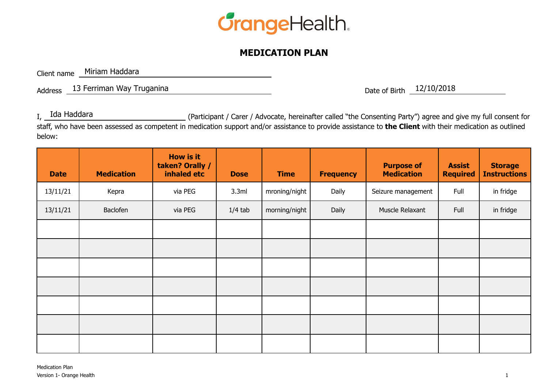

## **MEDICATION PLAN**

Client name Miriam Haddara

Address Date of Birth 13 Ferriman Way Truganina 12/10/2018

If (Participant / Carer / Advocate, hereinafter called "the Consenting Party") agree and give my full consent for staff, who have been assessed as competent in medication support and/or assistance to provide assistance to **the Client** with their medication as outlined below:  $I_{\text{L}}$  Ida Haddara

| <b>Date</b> | <b>Medication</b> | <b>How is it</b><br>taken? Orally /<br>inhaled etc | <b>Dose</b> | <b>Time</b>   | <b>Frequency</b> | <b>Purpose of</b><br><b>Medication</b> | <b>Assist</b><br><b>Required</b> | <b>Storage</b><br><b>Instructions</b> |
|-------------|-------------------|----------------------------------------------------|-------------|---------------|------------------|----------------------------------------|----------------------------------|---------------------------------------|
| 13/11/21    | Kepra             | via PEG                                            | 3.3ml       | mroning/night | Daily            | Seizure management                     | Full                             | in fridge                             |
| 13/11/21    | Baclofen          | via PEG                                            | $1/4$ tab   | morning/night | Daily            | Muscle Relaxant                        | Full                             | in fridge                             |
|             |                   |                                                    |             |               |                  |                                        |                                  |                                       |
|             |                   |                                                    |             |               |                  |                                        |                                  |                                       |
|             |                   |                                                    |             |               |                  |                                        |                                  |                                       |
|             |                   |                                                    |             |               |                  |                                        |                                  |                                       |
|             |                   |                                                    |             |               |                  |                                        |                                  |                                       |
|             |                   |                                                    |             |               |                  |                                        |                                  |                                       |
|             |                   |                                                    |             |               |                  |                                        |                                  |                                       |